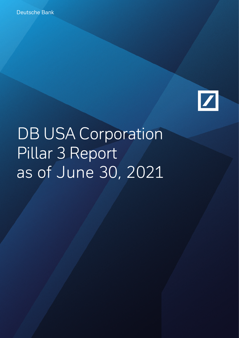

DB USA Corporation Pillar 3 Report as of June 30, 2021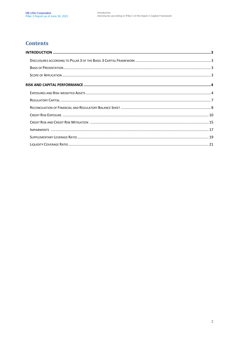### **Contents**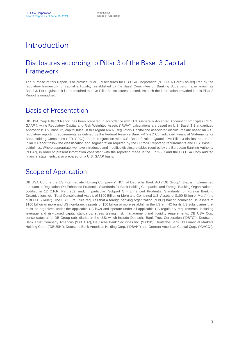# Introduction

### Disclosures according to Pillar 3 of the Basel 3 Capital Framework

The purpose of this Report is to provide Pillar 3 disclosures for DB USA Corporation ("DB USA Corp") as required by the regulatory framework for capital & liquidity, established by the Basel Committee on Banking Supervision, also known as Basel 3. Per regulation it is not required to have Pillar 3 disclosures audited. As such the information provided in this Pillar 3 Report is unaudited.

### Basis of Presentation

DB USA Corp Pillar 3 Report has been prepared in accordance with U.S. Generally Accepted Accounting Principles ("U.S. GAAP"), while Regulatory Capital and Risk Weighted Assets ("RWA") calculations are based on U.S. Basel 3 Standardized Approach ("U.S. Basel 3") capital rules. In this regard RWA, Regulatory Capital and associated disclosures are based on U.S. regulatory reporting requirements as defined by the Federal Reserve Bank FR Y-9C Consolidated Financial Statements for Bank Holding Companies ("FR Y-9C") and in conjunction with U.S. Basel 3 rules. Quantitative Pillar 3 disclosures, in the Pillar 3 Report follow the classification and segmentation required by the FR Y-9C reporting requirements and U.S. Basel 3 guidelines. Where appropriate, we have introduced and modified disclosure tables required by the European Banking Authority ("EBA"), in order to present information consistent with the reporting made in the FR Y-9C and the DB USA Corp audited financial statements, also prepared on a U.S. GAAP basis.

### Scope of Application

DB USA Corp is the US Intermediate Holding Company ("IHC") of Deutsche Bank AG ("DB Group") that is implemented pursuant to Regulation YY: Enhanced Prudential Standards for Bank Holding Companies and Foreign Banking Organizations, codified in 12 C.F.R. Part 252, and, in particular, Subpart O - Enhanced Prudential Standards for Foreign Banking Organizations with Total Consolidated Assets of \$100 Billion or More and Combined U.S. Assets of \$100 Billion or More" (the "FBO EPS Rule"). The FBO EPS Rule requires that a foreign banking organization ("FBO") having combined US assets of \$100 billion or more and US non-branch assets of \$50 billion or more establish in the US an IHC for its US subsidiaries that must be organized under the applicable US laws and operate under all applicable US regulatory requirements, including leverage and risk-based capital standards, stress testing, risk management and liquidity requirements. DB USA Corp consolidates all of DB Group subsidiaries in the U.S. which include Deutsche Bank Trust Corporation ("DBTC"), Deutsche Bank Trust Company Americas ("DBTCA"), Deutsche Bank Securities Inc. ("DBSI"), Deutsche Bank US Financial Markets Holding Corp. ("DBUSH"), Deutsche Bank Americas Holding Corp. ("DBAH") and German American Capital Corp. ("GACC").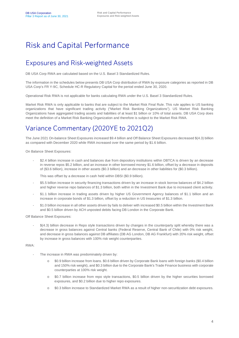# Risk and Capital Performance

### Exposures and Risk-weighted Assets

DB USA Corp RWA are calculated based on the U.S. Basel 3 Standardized Rules.

The information in the schedules below presents DB USA Corp distribution of RWA by exposure categories as reported in DB USA Corp's FR Y-9C, Schedule HC-R Regulatory Capital for the period ended June 30, 2020.

Operational Risk RWA is not applicable for banks calculating RWA under the U.S. Basel 3 Standardized Rules.

Market Risk RWA is only applicable to banks that are subject to the Market Risk Final Rule. This rule applies to US banking organizations that have significant trading activity ("Market Risk Banking Organizations"). US Market Risk Banking Organizations have aggregated trading assets and liabilities of at least \$1 billion or 10% of total assets. DB USA Corp does meet the definition of a Market Risk Banking Organization and therefore is subject to the Market Risk RWA.

## Variance Commentary (2020YE to 2021Q2)

The June 2021 On-balance Sheet Exposures increased \$9.4 billion and Off Balance Sheet Exposures decreased \$(4.3) billion as compared with December 2020 while RWA increased over the same period by \$1.6 billion.

On Balance Sheet Exposures:

- \$2.4 billion increase in cash and balances due from depository institutions within DBTCA is driven by an decrease in reverse repos \$5.2 billion, and an increase in other borrowed money \$1.6 billion, offset by a decrease in deposits of (\$3.6 billion), increase in other assets (\$0.3 billion) and an decrease in other liabilities for (\$0.3 billion).

This was offset by a decrease in cash held within DBSI (\$0.9 billion).

- \$5.5 billion increase in security financing transactions driven by an increase in stock borrow balances of \$4.2 billion and higher reverse repo balances of \$1.3 billion, both within in the Investment Bank due to increased client activity.
- \$1.1 billion increase in trading assets driven by higher US Government Agency balances of \$1.1 billion and an increase in corporate bonds of \$1.3 billion, offset by a reduction in US treasuries of \$1.3 billion.
- \$1.0 billion increase in all other assets driven by fails to deliver with increased \$0.5 billion within the Investment Bank and \$0.5 billion driven by ACH unposted debits facing DB London in the Corporate Bank.

Off Balance Sheet Exposures:

- \$(4.3) billion decrease in Repo style transactions driven by changes in the counterparty split whereby there was a decrease in gross balances against Central banks (Federal Reserve, Central Bank of Chile) with 0% risk weight, and decrease in gross balances against DB affiliates (DB AG London, DB AG Frankfurt) with 20% risk weight, offset by increase in gross balances with 100% risk weight counterparties.

RWA:

- The increase in RWA was predominately driven by:
	- o \$0.9 billion increase from loans. \$0.6 billion driven by Corporate Bank loans with foreign banks (\$0.4 billion and 150% risk weight), and \$0.3 billion due to the Corporate Bank's Trade Finance business with corporate counterparties at 100% risk weight.
	- \$0.7 billion increase from repo style transactions, \$0.5 billion driven by the higher securities borrowed exposures, and \$0.2 billion due to higher repo exposures.
	- o \$0.3 billion increase to Standardized Market RWA as a result of higher non-securitization debt exposures.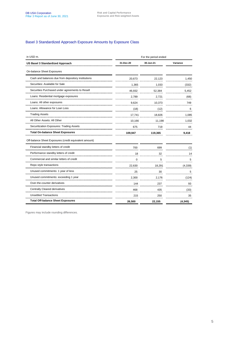#### Basel 3 Standardized Approach Exposure Amounts by Exposure Class

| in USD m.                                              | For the period ended |           |          |  |  |
|--------------------------------------------------------|----------------------|-----------|----------|--|--|
| US Basel 3 Standardized Approach                       | 31-Dec-20            | 30-Jun-21 | Variance |  |  |
| On-balance Sheet Exposures                             |                      |           |          |  |  |
| Cash and balances due from depository institutions     | 20,673               | 22,123    | 1,450    |  |  |
| Securities: Available for Sale                         | 1,365                | 1,033     | (332)    |  |  |
| Securities Purchased under agreements to Resell        | 46,932               | 52,384    | 5,452    |  |  |
| Loans: Residential mortgage exposures                  | 2.789                | 2,721     | (68)     |  |  |
| Loans: All other exposures                             | 9,624                | 10,373    | 749      |  |  |
| Loans: Allowance for Loan Loss                         | (18)                 | (12)      | 6        |  |  |
| <b>Trading Assets</b>                                  | 17,741               | 18,826    | 1,085    |  |  |
| All Other Assets: All Other                            | 10,166               | 11,198    | 1,032    |  |  |
| Securitization Exposures: Trading Assets               | 675                  | 719       | 44       |  |  |
| <b>Total On-balance Sheet Exposures</b>                | 109,947              | 119,365   | 9,418    |  |  |
| Off-balance Sheet Exposures (credit equivalent amount) |                      |           |          |  |  |
| Financial standby letters of credit                    | 700                  | 699       | (1)      |  |  |
| Performance standby letters of credit                  | 18                   | 32        | 14       |  |  |
| Commercial and similar letters of credit               | <sup>0</sup>         | 5         | 5        |  |  |
| Repo style transactions                                | 22,630               | 18,291    | (4, 339) |  |  |
| Unused commitments: 1 year of less                     | 25                   | 30        | 5        |  |  |
| Unused commitments: exceeding 1 year                   | 2,300                | 2,176<br> | (124)    |  |  |
| Over-the-counter derivatives                           | 144                  | 237       | 93       |  |  |
| <b>Centrally Cleared derivatives</b>                   | 468                  | 435       | (33)     |  |  |
| <b>Unsettled Transactions</b>                          | 215                  | 250       | 35       |  |  |
| <b>Total Off-balance Sheet Exposures</b>               | 26,500               | 22,155    | (4, 345) |  |  |

Figures may include rounding differences.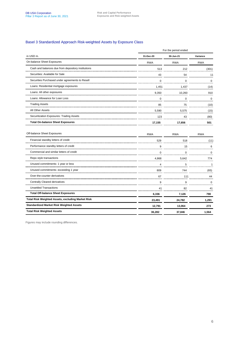#### Basel 3 Standardized Approach Risk-weighted Assets by Exposure Class

|                                                          | For the period ended |             |              |  |  |
|----------------------------------------------------------|----------------------|-------------|--------------|--|--|
| in USD <sub>m.</sub>                                     | 31-Dec-20            | 30-Jun-21   | Variance     |  |  |
| On-balance Sheet Exposures                               | <b>RWA</b>           | <b>RWA</b>  | <b>RWA</b>   |  |  |
| Cash and balances due from depository institutions       | 513                  | 212         | (301)        |  |  |
| Securities: Available for Sale                           | 43                   | 54          | 11           |  |  |
| Securities Purchased under agreements to Resell          | $\Omega$             | $\Omega$    | 0            |  |  |
| Loans: Residential mortgage exposures                    | 1,451                | 1,437       | (14)         |  |  |
| Loans: All other exposures                               | 9,350                | 10,260      | 910          |  |  |
| Loans: Allowance for Loan Loss                           | $\mathbf 0$          | $\mathbf 0$ | $\mathbf 0$  |  |  |
| <b>Trading Assets</b>                                    | 85                   | 75          | (10)         |  |  |
| All Other Assets                                         | 5,590                | 5,575       | (15)         |  |  |
| Securitization Exposures: Trading Assets                 | 123                  | 43          | (80)         |  |  |
| <b>Total On-balance Sheet Exposures</b>                  | 17,155               | 17,656      | 501          |  |  |
| Off-balance Sheet Exposures                              | <b>RWA</b>           | <b>RWA</b>  | <b>RWA</b>   |  |  |
| Financial standby letters of credit                      | 529                  | 518         | (11)         |  |  |
| Performance standby letters of credit                    | 9                    | 15          | 6            |  |  |
| Commercial and similar letters of credit                 | $\Omega$             | $\Omega$    | $\Omega$     |  |  |
| Repo style transactions                                  | 4,868                | 5,642       | 774          |  |  |
| Unused commitments: 1 year or less                       | 4                    | 5           | $\mathbf{1}$ |  |  |
| Unused commitments: exceeding 1 year                     | 809                  | 744         | (65)         |  |  |
| Over-the-counter derivatives                             | 67                   | 111         | 44           |  |  |
| <b>Centrally Cleared derivatives</b>                     | 9                    | 9           | $\mathbf 0$  |  |  |
| <b>Unsettled Transactions</b>                            | 41                   | 82          | 41           |  |  |
| <b>Total Off-balance Sheet Exposures</b>                 | 6,336                | 7,126       | 790          |  |  |
| <b>Total Risk Weighted Assets, excluding Market Risk</b> | 23,491               | 24,782      | 1,291        |  |  |
| <b>Standardized Market Risk Weighted Assets</b>          | 12,791               | 13,064      | 273          |  |  |
| <b>Total Risk Weighted Assets</b>                        | 36,282               | 37,846      | 1,564        |  |  |

Figures may include rounding differences.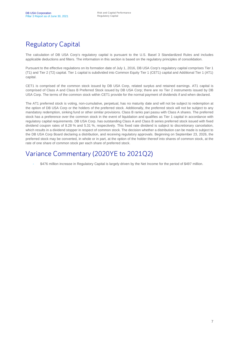# Regulatory Capital

The calculation of DB USA Corp's regulatory capital is pursuant to the U.S. Basel 3 Standardized Rules and includes applicable deductions and filters. The information in this section is based on the regulatory principles of consolidation.

Pursuant to the effective regulations on its formation date of July 1, 2016, DB USA Corp's regulatory capital comprises Tier 1 (T1) and Tier 2 (T2) capital. Tier 1 capital is subdivided into Common Equity Tier 1 (CET1) capital and Additional Tier 1 (AT1) capital.

CET1 is comprised of the common stock issued by DB USA Corp, related surplus and retained earnings. AT1 capital is comprised of Class A and Class B Preferred Stock issued by DB USA Corp; there are no Tier 2 instruments issued by DB USA Corp. The terms of the common stock within CET1 provide for the normal payment of dividends if and when declared.

The AT1 preferred stock is voting, non-cumulative, perpetual, has no maturity date and will not be subject to redemption at the option of DB USA Corp or the holders of the preferred stock. Additionally, the preferred stock will not be subject to any mandatory redemption, sinking fund or other similar provisions. Class B ranks pari passu with Class A shares. The preferred stock has a preference over the common stock in the event of liquidation and qualifies as Tier 1 capital in accordance with regulatory capital requirements. DB USA Corp. has outstanding Class A and Class B series preferred stock issued with fixed dividend coupon rates of 8.28 % and 5.31 %, respectively. This fixed rate dividend is subject to discretionary cancelation, which results in a dividend stopper in respect of common stock. The decision whether a distribution can be made is subject to the DB USA Corp Board declaring a distribution, and receiving regulatory approvals. Beginning on September 23, 2026, the preferred stock may be converted, in whole or in part, at the option of the holder thereof into shares of common stock, at the rate of one share of common stock per each share of preferred stock.

### Variance Commentary (2020YE to 2021Q2)

- \$476 million increase in Regulatory Capital is largely driven by the Net Income for the period of \$497 million.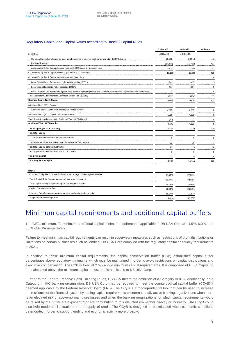#### Regulatory Capital and Capital Ratios according to Basel 3 Capital Rules

|                                                                                                                                 | 31-Dec-20  | 30-Jun-21   | Variance     |
|---------------------------------------------------------------------------------------------------------------------------------|------------|-------------|--------------|
| in USD m.                                                                                                                       | US Basel 3 | US Basel 3  |              |
| Common Stock plus retained surplus, net of unearned employee stock ownership plan (ESOP) shares                                 | 23,662     | 23,618      | (44)         |
| <b>Retained Earnings</b>                                                                                                        | (13, 253)  | (12, 756)   | 497          |
| Accumulated Other Comprehensive Income (AOCI) based on transition rules                                                         | (243)      | (221)       | 22           |
| Common Equity Tier 1 Capital, before adjustments and deductions                                                                 | 10,166     | 10,641      | 475          |
| Common Equity Tier 1 Capital: Adjustments and Deductions                                                                        |            |             | $\mathbf 0$  |
| Less: Goodwill net of associated deferred tax liabilities (DTLs)                                                                | (50)       | (49)        | $\mathbf{1}$ |
| Less: Intangible Assets, net of associated DTL's                                                                                | (62)       | (65)        | (3)          |
| Less: Deferred Tax Assets (DTLs) that arise from net operating losses and tax credit carryforwards, net of valuation allowances | $\Omega$   | $\mathbf 0$ | $\mathbf 0$  |
| Total Regulatory Adjustments to Commeon Equity Tier 1 (CET1)                                                                    | (112)      | (114)       | (2)          |
| <b>Common Equity Tier 1 Capital</b>                                                                                             | 10,054     | 10,527      | 473          |
| Additional Tier 1 (AT1) Capital                                                                                                 |            |             |              |
| Additional Tier 1 Capital instruments plus related surplus                                                                      | 4,205      | 4,205       | $\mathbf 0$  |
| Additional Tier 1 (AT1) Capital before adjusments                                                                               | 4,205      | 4,205       | $\Omega$     |
| Total Regulatory Adjustments to Additional Tier 1 (AT1) Capital                                                                 | (10)       | (2)         | 8            |
| <b>Additional Tier 1 (AT1) Capital</b>                                                                                          | 4,195      | 4,203       | 8            |
| Tier 1 Capital (T1 = CET1 + AT1)                                                                                                | 14,249     | 14,730      | 481          |
| Tier 2 (T2) Capital                                                                                                             |            |             |              |
| Tier 2 Capital instruments plus related surplus                                                                                 | 0          | $\mathbf 0$ | $\mathbf 0$  |
| Allowance for loan and lease losses includable in Tier 2 capital                                                                | 20         | 15          | (5)          |
| Tier 2 (T2) Capital before adjustments                                                                                          | 20         | 15          | (5)          |
| Total Regulatory Adjustments to Tier 2 (T2) Capital                                                                             | 0          | $\mathbf 0$ | $\mathbf 0$  |
| Tier 2 (T2) Capital                                                                                                             | 20         | 15          | (5)          |
| <b>Total Regulatory Capital</b>                                                                                                 | 14,269     | 14,745      | 476          |
|                                                                                                                                 |            |             |              |
| <b>Ratios</b>                                                                                                                   |            |             |              |
| Common Equity Tier 1 Capital Ratio (as a percentage of risk-weighted assets)                                                    | 27.71%     | 27.82%      |              |
| Tier 1 Capital Ratio (as a percentage of risk-weighted assets)                                                                  | 39.27%     | 38.92%      |              |
| Total Capital Ratio (as a percentage of risk-weighted assets)                                                                   | 39 33%     | 38.96%      |              |

| Tier 1 Capital Ratio (as a percentage of risk-weighted assets)        | 39.27% | 38.92% |
|-----------------------------------------------------------------------|--------|--------|
| Total Capital Ratio (as a percentage of risk-weighted assets)         | 39.33% | 38.96% |
| Capital Conservation Buffer                                           | 23.21% | 23.32% |
| Leverage Ratio (as a percentage of average total consolidated assets) | 10.84% | 11.87% |
| Supplementary Leverage Ratio                                          | 13.61% | 10.85% |

### Minimum capital requirements and additional capital buffers

The CET1 minimum, T1 minimum, and Total capital minimum requirements applicable to DB USA Corp are 4.5%, 6.0%, and 8.0% of RWA respectively.

Failure to meet minimum capital requirements can result in supervisory measures such as restrictions of profit distributions or limitations on certain businesses such as lending. DB USA Corp complied with the regulatory capital adequacy requirements in 2021.

In addition to these minimum capital requirements, the capital conservation buffer (CCB) establishes capital buffer percentages above regulatory minimums, which must be maintained in order to avoid restrictions on capital distributions and executive compensation. The CCB is fixed at 2.5% above minimum capital requirements. It is composed of CET1 Capital to be maintained above the minimum capital ratios, and is applicable to DB USA Corp.

Further to the Federal Reserve Bank Tailoring Rules, DB USA meets the definition of a Category III IHC. Additionally, as a Category III IHC banking organization, DB USA Corp may be required to meet the countercyclical capital buffer (CCyB) if deemed applicable by the Federal Reserve Board (FRB). The CCyB is a macroprudential tool that can be used to increase the resilience of the financial system by raising capital requirements on internationally active banking organizations when there is an elevated risk of above-normal future losses and when the banking organizations for which capital requirements would be raised by the buffer are exposed to or are contributing to this elevated risk--either directly or indirectly. The CCyB could also help moderate fluctuations in the supply of credit. The CCyB is designed to be released when economic conditions deteriorate, in order to support lending and economic activity more broadly.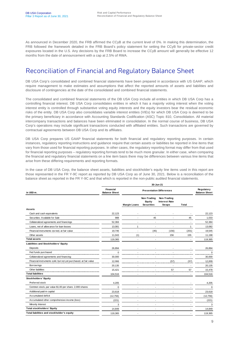As announced in December 2020, the FRB affirmed the CCyB at the current level of 0%. In making this determination, the FRB followed the framework detailed in the FRB Board's policy statement for setting the CCyB for private-sector credit exposures located in the U.S. Any decisions by the FRB Board to increase the CCyB amount will generally be effective 12 months from the date of announcement with a cap at 2.5% of RWA.

## Reconciliation of Financial and Regulatory Balance Sheet

DB USA Corp's consolidated and combined financial statements have been prepared in accordance with US GAAP, which require management to make estimates and assumptions that affect the reported amounts of assets and liabilities and disclosure of contingencies at the date of the consolidated and combined financial statements.

The consolidated and combined financial statements of the DB USA Corp include all entities in which DB USA Corp has a controlling financial interest. DB USA Corp consolidates entities in which it has a majority voting interest when the voting interest entity is controlled through substantive voting equity interests and the equity investors bear the residual economic risks of the entity. DB USA Corp also consolidates variable interest entities (VIEs) for which DB USA Corp is deemed to be the primary beneficiary in accordance with Accounting Standards Codification (ASC) Topic 810, Consolidation. All material intercompany transactions and balances have been eliminated in consolidation. In the normal course of business, DB USA Corp's operations may include significant transactions conducted with affiliated entities. Such transactions are governed by contractual agreements between DB USA Corp and its affiliates.

DB USA Corp prepares US GAAP financial statements for both financial and regulatory reporting purposes. In certain instances, regulatory reporting instructions and guidance require that certain assets or liabilities be reported in line items that vary from those used for financial reporting purposes. In other cases, the regulatory reporting format may differ from that used for financial reporting purposes – regulatory reporting formats tend to be much more granular. In either case, when comparing the financial and regulatory financial statements on a line item basis there may be differences between various line items that arise from these differing requirements and reporting formats.

In the case of DB USA Corp, the balance sheet assets, liabilities and stockholder's equity line items used in this report are those represented in the FR Y-9C report as reported by DB USA Corp as of June 30, 2021. Below is a reconciliation of the balance sheet as reported in the FR Y-9C and that which is reported in the non-public audited financial statements.

| in USD <sub>m</sub> .                                            | <b>Financial</b><br><b>Balance Sheet</b> |                     | <b>Presentation Differences</b>            |                                                     |                          |           |  |
|------------------------------------------------------------------|------------------------------------------|---------------------|--------------------------------------------|-----------------------------------------------------|--------------------------|-----------|--|
|                                                                  |                                          | <b>Margin Loans</b> | Non-Trading<br>Equity<br><b>Securities</b> | Non-Trading<br><b>Interest Rate</b><br><b>Swaps</b> | Total                    |           |  |
| <b>Assets</b>                                                    |                                          |                     |                                            |                                                     |                          |           |  |
| Cash and cash equivalents                                        | 22,123                                   |                     |                                            |                                                     |                          | 22,123    |  |
| Securities: Available for Sale                                   | 988                                      | $\sim$              | 45                                         | $\sim$                                              | 45                       | 1,033     |  |
| Collateralized agreements and financings                         | 52,384                                   |                     |                                            |                                                     |                          | 52.384    |  |
| Loans, net of allow ance for loan losses                         | 13,081                                   | $\overline{1}$      |                                            | $\sim$                                              | $\mathbf{1}$             | 13,082    |  |
| Financial instruments ow ned, at fair value                      | 19,746                                   |                     | (45)                                       | (156)                                               | (201)                    | 19,545    |  |
| Other assets                                                     | 11,043                                   | (1)                 |                                            | 156                                                 | 155                      | 11,198    |  |
| <b>Total assets</b>                                              | 119,365                                  |                     |                                            |                                                     |                          | 119,365   |  |
| Liabilities and Stockholders' Equity                             |                                          |                     |                                            |                                                     |                          |           |  |
| Deposits                                                         | 26,894                                   |                     |                                            |                                                     |                          | 26,894    |  |
| Fed funds purchased                                              | $\Omega$                                 |                     |                                            |                                                     |                          | $\Omega$  |  |
| Collateralized agreements and financing:                         | 30,000                                   |                     |                                            |                                                     |                          | 30.000    |  |
| Financial instruments sold, but not yet purchased, at fair value | 12,066                                   |                     |                                            | (57)                                                | (57)                     | 12,009    |  |
| Borrow ings                                                      | 20,135                                   |                     | $\blacksquare$                             | $\sim$                                              |                          | 20,135    |  |
| Other liabilities                                                | 15,421                                   |                     |                                            | 57                                                  | 57                       | 15,478    |  |
| <b>Total liabilities</b>                                         | 104,516                                  |                     | $\overline{\phantom{a}}$                   | $\blacksquare$                                      | $\overline{\phantom{a}}$ | 104,516   |  |
| <b>Stockholders' Equity</b>                                      |                                          |                     |                                            |                                                     |                          |           |  |
| Preferred stock                                                  | 4,205                                    |                     |                                            |                                                     |                          | 4,205     |  |
| Common stock, par value \$1.00 per share. 2,000 shares           | $\Omega$                                 |                     |                                            |                                                     |                          | $\Omega$  |  |
| Additional paid-in capital                                       | 23,618                                   |                     |                                            |                                                     |                          | 23,618    |  |
| Accumulated deficit                                              | (12, 756)                                |                     |                                            |                                                     |                          | (12, 756) |  |
| Accumulated other comprehensive income (loss)                    | (221)                                    |                     |                                            |                                                     |                          | (221)     |  |
| Minority Interest                                                | 3                                        |                     |                                            |                                                     |                          | 3         |  |
| <b>Total stockholders' Equity</b>                                | 14,849                                   |                     |                                            |                                                     |                          | 14,849    |  |
| Total liabilities and stockholder's equity                       | 119,365                                  |                     |                                            |                                                     |                          | 119,365   |  |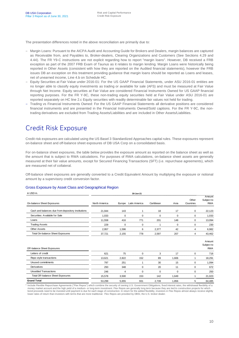The presentation differences noted in the above reconciliation are primarily due to:

- Margin Loans: Pursuant to the AICPA Audit and Accounting Guide for Brokers and Dealers, margin balances are captured as Receivable from, and Payables to, Broker-dealers, Clearing Organizations and Customers (See Sections 4.29 and 4.44). The FR Y9-C instructions are not explicit regarding how to report "margin loans". However, DB received a FRB exception as part of the 2007 FRB Exam of Taunus as it relates to margin lending. Margin Loans were historically being reported in Other Assets (consistent with how they are reported on the Audited financial statements), however the FRB issues DB an exception on this treatment providing guidance that margin loans should be reported as Loans and leases, net of unearned income, Line 4.b on Schedule HC.
- Equity Securities at Fair Value under 2016-01: For the US GAAP Financial Statements, under ASU 2016-01 entities are no longer able to classify equity investments as trading or available for sale (AFS) and must be measured at Fair Value through Net Income. Equity securities at Fair Value are considered Financial Instruments Owned for US GAAP financial reporting purposes. For the FR Y-9C, these non-trading equity securities held at Fair Value under ASU 2016-01 are reported separately on HC line 2.c Equity securities with readily determinable fair values not held for trading.
- Trading vs Financial Instruments Owned: For the US GAAP Financial Statements all derivative positions are considered financial instruments and are presented in the Financial Instruments Owned/Sold captions. For the FR Y-9C, the nontrading derivatives are excluded from Trading Assets/Liabilities and are included in Other Assets/Liabilities.

## Credit Risk Exposure

Credit risk exposures are calculated using the US Basel 3 Standardized Approaches capital rules. These exposures represent on-balance sheet and off-balance sheet exposures of DB USA Corp on a consolidated basis.

For on-balance sheet exposures, the table below provides the exposure amount as reported on the balance sheet as well as the amount that is subject to RWA calculations. For purposes of RWA calculations, on-balance sheet assets are generally measured at their fair value amounts, except for Secured Financing Transactions (SFT) (i.e. repurchase agreements), which are measured net of collateral.

Off-balance sheet exposures are generally converted to a Credit Equivalent Amount by multiplying the exposure or notional amount by a supervisory credit conversion factor.

#### Gross Exposure by Asset Class and Geographical Region

| in USD m.                                          | 30-Jun-21     |          |               |           |          |                    |                                    |
|----------------------------------------------------|---------------|----------|---------------|-----------|----------|--------------------|------------------------------------|
| On-balance Sheet Exposures                         | North America | Europe   | Latin America | Caribbean | Asia     | Other<br>Countries | Amount<br>Subject to<br><b>RWA</b> |
| Cash and balances due from depository institutions | 21.944        | 143      | 1             | 18        | 17       | 0                  | 22,123                             |
| Securities: Available for Sale                     | 1.033         | $\Omega$ | $\Omega$      | $\Omega$  | $\Omega$ | 0                  | 1,033                              |
| Loans                                              | 11,558        | 416      | 771           | 201       | 148      | 0                  | 13,094                             |
| <b>Trading Assets</b>                              | 229           | $\Omega$ | $\mathbf 0$   |           | 0        | 0                  | 230                                |
| <b>Other Assets</b>                                | 2,957         | 1,596    | 6             | 2.377     | 42       | 4                  | 6,982                              |
| Total On-balance Sheet Exposures                   | 37.721        | 2,155    | 778           | 2.597     | 207      | 4                  | 43,462                             |
| Off-balance Sheet Exposures                        |               |          |               |           |          |                    | Amount<br>Subject to<br><b>RWA</b> |
| Letters of credit                                  | 621           | 75       | $\Omega$      | 3         | 17       | 0                  | 716                                |
| Repo style transactions                            | 13.621        | 2,822    | 152           | 89        | 1.606    |                    | 18,291                             |
| Unused commitments                                 | 797           | 251      | 1             | 30        | 15       | $\mathbf 0$        | 1.094                              |
| Derivatives                                        | 293           | 348      | $\mathbf 0$   | 20        | 11       | 0                  | 672                                |
| <b>Unsettled Transactions</b>                      | 246           | 4        | $\Omega$      | $\Omega$  | $\Omega$ | 0                  | 250                                |
| Total Off-balance Sheet Exposures                  | 15,578        | 3,500    | 153           | 142       | 1,649    |                    | 21,023                             |
| <b>Grand Total</b>                                 | 53,299        | 5,655    | 931           | 2,739     | 1,856    | 5                  | 64,485                             |

<sup>1</sup> Include Flexible Repurchase Agreements ("Flex Repos") which combine the security of owning U.S. Government Obligations, fixed interest rates, the withdrawal flexibility of a money market account and the high yield of a medium- or long-term investment. Flex Repos are generally long term because they are tied to construction projects for which<br>bond proceeds need to be invested until payment is d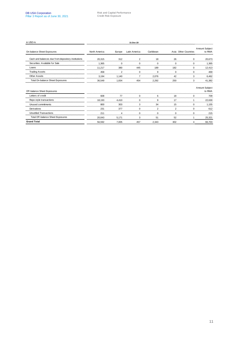| in USD m.                                          | 31-Dec-20     |                |                |             |             |                      |                          |
|----------------------------------------------------|---------------|----------------|----------------|-------------|-------------|----------------------|--------------------------|
| On-balance Sheet Exposures                         | North America | Europe         | Latin America  | Caribbean   |             | Asia Other Countries | Amount Subject<br>to RWA |
| Cash and balances due from depository institutions | 20,315        | 312            | 2              | 18          | 26          | 0                    | 20,673                   |
| Securities: Available for Sale                     | 1,365         | 0              | $\Omega$       | $\Omega$    | $\mathbf 0$ | 0                    | 1,365                    |
| Loans                                              | 11,217        | 380            | 445            | 189         | 182         | 0                    | 12,413                   |
| <b>Trading Assets</b>                              | 458           | $\overline{2}$ | $\mathbf 0$    | 9           | $\mathbf 0$ | 0                    | 469                      |
| <b>Other Assets</b>                                | 3,194         | 1.140          | $\overline{7}$ | 2,076       | 42          | 3                    | 6,462                    |
| Total On-balance Sheet Exposures                   | 36,549        | 1,834          | 454            | 2,292       | 250         | 3                    | 41,382                   |
| Off-balance Sheet Exposures                        |               |                |                |             |             |                      | Amount Subject<br>to RWA |
| Letters of credit                                  | 608           | 77             | $\Omega$       | 6           | 18          | 0                    | 709                      |
| Repo style transactions                            | 18,193        | 4,410          | $\mathbf 0$    | 9           | 17          | 1                    | 22,630                   |
| Unused commitments                                 | 800           | 303            | 3              | 34          | 15          | 0                    | 1,155                    |
| Derivatives                                        | 231           | 377            | $\mathbf 0$    | 2           | 2           | 0                    | 612                      |
| <b>Unsettled Transactions</b>                      | 211           | 4              | $\mathbf 0$    | $\mathbf 0$ | $\mathbf 0$ | 0                    | 215                      |
| Total Off-balance Sheet Exposures                  | 20,043        | 5,171          | 3              | 51          | 52          | 1                    | 25,321                   |
| <b>Grand Total</b>                                 | 56,592        | 7,005          | 457            | 2,343       | 302         | 4                    | 66,703                   |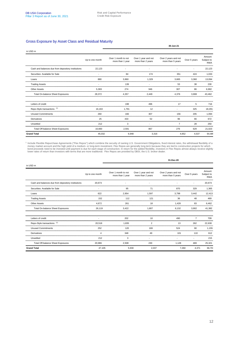#### Gross Exposure by Asset Class and Residual Maturity

|                                                    |                 |                                         |                                          | 30-Jun-21                                 |                |                                    |
|----------------------------------------------------|-----------------|-----------------------------------------|------------------------------------------|-------------------------------------------|----------------|------------------------------------|
| in USD <sub>m</sub>                                |                 |                                         |                                          |                                           |                |                                    |
|                                                    | Up to one month | Over 1 month to not<br>more than 1 year | Over 1 year and not<br>more than 2 years | Over 2 years and not<br>more than 5 years | Over 5 years   | Amount<br>Subject to<br><b>RWA</b> |
| Cash and balances due from depository institutions | 22.123          |                                         |                                          |                                           |                | 22,123                             |
| Securities: Available for Sale                     |                 | 84                                      | 174                                      | 351                                       | 424            | 1,033                              |
| Loans                                              | 880             | 3.860                                   | 1.329                                    | 3,665                                     | 3,360          | 13,094                             |
| <b>Trading Assets</b>                              |                 | 139                                     |                                          | 53                                        | 38             | 230                                |
| Other Assets                                       | 5.369           | 274                                     | 946                                      | 307                                       | 86             | 6.982                              |
| Total On-balance Sheet Exposures                   | 28.372          | 4.357                                   | 2.449                                    | 4.376                                     | 3.908          | 43.462                             |
| Letters of credit                                  |                 | 198                                     | 496                                      | 17                                        | 5              | 716                                |
| Repo-Style transactions <sup>(1)</sup>             | 16.163          | 1.791                                   | 12                                       |                                           | 325            | 18,291                             |
| <b>Unused Commitments</b>                          | 260             | 166                                     | 307                                      | 156                                       | 205            | 1.094                              |
| Derivatives                                        | 25              | 433                                     | 52                                       | 96                                        | 66             | 672                                |
| Unsettled                                          | 212             | 3                                       |                                          | $\overline{7}$                            | 28             | 250                                |
| Total Off-balance Sheet Exposures                  | 16,660          | 2,591                                   | 867                                      | 276                                       | 629            | 21,023                             |
| <b>Grand Total</b>                                 | 45,032          | 6,948                                   | 3,316                                    |                                           | 4,652<br>4,537 | 64,485                             |

<sup>1</sup> Include Flexible Repurchase Agreements ("Flex Repos") which combine the security of owning U.S. Government Obligations, fixed interest rates, the withdrawal flexibility of a<br>money market account and the high yield of a

|                                                    |                 |                                         |                                          | 31-Dec-20                                 |                |                                    |
|----------------------------------------------------|-----------------|-----------------------------------------|------------------------------------------|-------------------------------------------|----------------|------------------------------------|
| in USD <sub>m</sub>                                |                 |                                         |                                          |                                           |                |                                    |
|                                                    | Up to one month | Over 1 month to not<br>more than 1 year | Over 1 year and not<br>more than 2 years | Over 2 years and not<br>more than 5 years | Over 5 years   | Amount<br>Subject to<br><b>RWA</b> |
| Cash and balances due from depository institutions | 20,673          |                                         |                                          |                                           |                | 20,673                             |
| Securities: Available for Sale                     |                 | 95                                      | 71                                       | 870                                       | 329            | 1,365                              |
| Loans                                              | 622             | 2,954                                   | 1,597                                    | 3,798                                     | 3,442          | 12,413                             |
| <b>Trading Assets</b>                              | 152             | 112                                     | 121                                      | 36                                        | 48             | 469                                |
| Other Assets                                       | 4.672           | 261                                     | 18                                       | 1.428                                     | 83             | 6,462                              |
| Total On-balance Sheet Exposures                   | 26.119          | 3.422                                   | 1.807                                    | 6,132                                     | 3,902          | 41.382                             |
| Letters of credit                                  |                 | 202                                     | 10                                       | 490                                       | $\overline{7}$ | 709                                |
| Repo-Style transactions (1)                        | 20,518          | 1.835                                   | $\overline{2}$                           | 13                                        | 262            | 22,630                             |
| <b>Unused Commitments</b>                          | 252             | 120                                     | 169                                      | 524                                       | 90             | 1.155                              |
| Derivatives                                        | Δ               | 348                                     | 49                                       | 101                                       | 110            | 612                                |
| Unsettled                                          | 212             | 3                                       |                                          |                                           |                | 215                                |
| Total Off-balance Sheet Exposures                  | 20,986          | 2,508                                   | 230                                      | 1,128                                     | 469            | 25,321                             |
| <b>Grand Total</b>                                 | 47,105          | 5,930                                   | 2,037                                    |                                           | 7,260<br>4,371 | 66,703                             |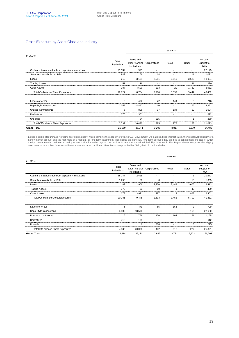#### Gross Exposure by Asset Class and Industry

|                                                    |                        |                                              |              | 30-Jun-21 |       |                                    |
|----------------------------------------------------|------------------------|----------------------------------------------|--------------|-----------|-------|------------------------------------|
| in USD <sub>m</sub>                                |                        |                                              |              |           |       |                                    |
|                                                    | Public<br>institutions | Banks and<br>other financial<br>institutions | Corporations | Retail    | Other | Amount<br>Subject to<br><b>RWA</b> |
| Cash and balances due from depository institutions | 21,132                 | 991                                          |              |           |       | 22,123                             |
| Securities: Available for Sale                     | 942                    | 66                                           | 14           |           | 11    | 1,033                              |
| Loans                                              | 215                    | 3,181                                        | 2,551        | 3,519     | 3.628 | 13,094                             |
| <b>Trading Assets</b>                              | 151                    | 16                                           | 42           |           | 21    | 230                                |
| Other Assets                                       | 387                    | 4.500                                        | 293          | 20        | 1.782 | 6,982                              |
| Total On-balance Sheet Exposures                   | 22,827                 | 8,754                                        | 2,900        | 3,539     | 5,442 | 43,462                             |
| Letters of credit                                  | 5                      | 492                                          | 72           | 144       | я     | 716                                |
| Repo-Style transactions                            | 3.352                  | 14.857                                       | 10           |           | 72    | 18.291                             |
| <b>Unused Commitments</b>                          | 5                      | 806                                          | 97           | 134       | 52    | 1.094                              |
| Derivatives                                        | 370                    | 301                                          |              |           |       | 672                                |
| Unsettled                                          |                        | 34                                           | 215          |           |       | 250                                |
| Total Off-balance Sheet Exposures                  | 3,732                  | 16,490                                       | 395          | 278       | 128   | 21,023                             |
| <b>Grand Total</b>                                 | 26,559                 | 25,244                                       | 3,295        | 3,817     | 5,570 | 64,485                             |

<sup>1</sup> Include Flexible Repurchase Agreements ("Flex Repos") which combine the security of owning U.S. Government Obligations, fixed interest rates, the withdrawal flexibility of a money market account and the high yield of a

|                                                    |                        |                                              |              | 31-Dec-20 |       |                                    |
|----------------------------------------------------|------------------------|----------------------------------------------|--------------|-----------|-------|------------------------------------|
| in USD <sub>m</sub>                                |                        |                                              |              |           |       |                                    |
|                                                    | Public<br>institutions | Banks and<br>other financial<br>institutions | Corporations | Retail    | Other | Amount<br>Subject to<br><b>RWA</b> |
| Cash and balances due from depository institutions | 18,147                 | 2,525                                        |              |           |       | 20,673                             |
| Securities: Available for Sale                     | 1.296                  | 50                                           | 6            |           | 13    | 1.365                              |
| Loans                                              | 183                    | 2,906                                        | 2,200        | 3,449     | 3.675 | 12.413                             |
| <b>Trading Assets</b>                              | 376                    | 33                                           | 10           |           | 49    | 469                                |
| <b>Other Assets</b>                                | 279                    | 3,931                                        | 287          | 3         | 1,962 | 6,462                              |
| Total On-balance Sheet Exposures                   | 20,281                 | 9,445                                        | 2,503        | 3,453     | 5,700 | 41,382                             |
| Letters of credit                                  | 6                      | 479                                          | 65           | 156       | 3     | 709                                |
| Repo-Style transactions                            | 3,905                  | 18,570                                       |              |           | 155   | 22,630                             |
| <b>Unused Commitments</b>                          | 6                      | 756                                          | 170          | 162       | 61    | 1,155                              |
| Derivatives                                        | 416                    | 195                                          |              |           |       | 612                                |
| Unsettled                                          |                        | 6                                            | 206          |           | 3     | 215                                |
| Total Off-balance Sheet Exposures                  | 4,333                  | 20,006                                       | 442          | 318       | 222   | 25,321                             |
| <b>Grand Total</b>                                 | 24,614                 | 29,451                                       | 2,945        | 3,771     | 5,922 | 66,703                             |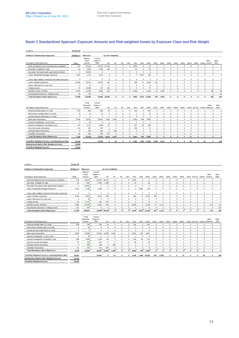#### Basel 3 Standardized Approach Exposure Amounts and Risk-weighted Assets by Exposure Class and Risk Weight

| in USD <sub>m</sub> .                                   | 30-Jun-21   |                                |                                    |          |                   |                |              |                |             |              |             |             |              |             |              |             |             |                |              |                     |
|---------------------------------------------------------|-------------|--------------------------------|------------------------------------|----------|-------------------|----------------|--------------|----------------|-------------|--------------|-------------|-------------|--------------|-------------|--------------|-------------|-------------|----------------|--------------|---------------------|
| US Basel 3 Standardized Approach                        | US Basel 3  | Exposure                       |                                    |          | by risk weighting |                |              |                |             |              |             |             |              |             |              |             |             |                |              |                     |
| On-balance Sheet Exposures                              | <b>RWA</b>  | Balance<br>Sheet<br>Amount     | Amount<br>Subject to<br><b>RWA</b> | 0%       | 2%                | 4%             | 10%          | 20%            | 50%         | 100%         | 150%        | 250%        | 300%         | 400%        | 600%         | 625%        | 938%        | 1250% Amount   | Other        | Other<br><b>RWA</b> |
| Cash and balances due from depository institutions      | 212         | 22.123                         | 22.123                             | 21.106   | $\mathbf 0$       | $^{\circ}$     | $\Omega$     | 1.004          | 3           | 10           | $^{\circ}$  | $\Omega$    | $\Omega$     | $\mathbf 0$ | $^{\circ}$   | $\Omega$    | $\mathbf 0$ | $^{\circ}$     | $^{\circ}$   | $\mathbf 0$         |
| Securities: Available for Sale                          | 54          | 1.033                          | 1.033                              | 935      | $\mathbf 0$       | $^{\circ}$     |              | 55             | 0           | 43           | $^{\circ}$  | $\Omega$    | 0            | 0           | $^{\circ}$   |             | $\Omega$    | $^{\circ}$     | $^{\circ}$   | $\mathbf 0$         |
| Securities Purchased under agreements to Resell         | $\Omega$    | 52.384                         | $^{\circ}$                         |          | $\mathbf 0$       | $^{\circ}$     | $\mathbf 0$  | $\mathbf 0$    | 0           | $\Omega$     | $^{\circ}$  | 0           | 0            | 0           | $\mathbf 0$  | $^{\circ}$  | $\mathbf 0$ | $\mathbf 0$    | $\mathbf 0$  |                     |
| Loans: Residential mortgage exposures                   | 1,437       | 2,721                          | 2,721                              | 6        | $\mathbf 0$       | $^{\circ}$     | $^{\circ}$   | $\mathbf{0}$   | 2,557       | 158          | $\mathbf 0$ | 0           | $\mathbf 0$  | $^{\circ}$  | $\mathbf 0$  | $^{\circ}$  | $\mathbf 0$ | $\mathbf 0$    | $\mathbf 0$  | $\mathbf 0$         |
| Loans: High volatility commercial real estate exposures | $\mathbf 0$ | $\Omega$                       | $^{\circ}$                         | 0        | $\mathbf 0$       | $^{\circ}$     | $\mathbf 0$  | $^{\circ}$     | $\Omega$    | $\mathbf 0$  | $^{\circ}$  | 0           | $\mathbf 0$  | $^{\circ}$  | $\mathbf 0$  | $^{\circ}$  | $\mathbf 0$ | $\mathbf 0$    | $^{\circ}$   | $\mathbf 0$         |
| Loans: All other exposures                              | 10.260      | 10.373                         | 10.373                             | 196      | $\mathbf 0$       | $^{\circ}$     | $^{\circ}$   | 339            | 11          | 9.108        | 719         | $^{\circ}$  | 0            | $^{\circ}$  | $\mathbf 0$  | $^{\circ}$  | $\mathbf 0$ | $\mathbf 0$    | $^{\circ}$   | $\mathbf 0$         |
| Loans: Allow ance for Loan Loss                         | $\mathbf 0$ | 12                             | $^{\circ}$                         | $\Omega$ | $\mathbf 0$       | $\mathbf 0$    | $\Omega$     | $\mathbf 0$    | $\Omega$    | $\Omega$     | $^{\circ}$  | $\Omega$    | 0            | $\circ$     | $\Omega$     | $^{\circ}$  | $\mathbf 0$ | $\mathbf 0$    | $^{\circ}$   | $\mathbf 0$         |
| <b>Trading Assets</b>                                   | 75          | 18.826                         | 227                                | 152      | $\mathbf 0$       | $^{\circ}$     | $\mathbf 0$  | $^{\circ}$     | 0           | 75           | $^{\circ}$  | $\Omega$    | 0            | 0           | $\mathbf 0$  | $^{\circ}$  | $\mathbf 0$ | $\mathbf 0$    | $^{\circ}$   | $\mathbf 0$         |
| All Other Assets: All Other                             | 5,575       | 11.198                         | 6.982                              | 150      | $\mathbf 0$       | $\mathbf 0$    | $\mathbf{0}$ | 3.408          | 1           | 2.169        | 10          | 1.045       | $\Omega$     | $\mathbf 0$ | $\mathbf 0$  | $\mathbf 0$ | $\mathbf 0$ | $\mathbf 0$    | 199          | 96                  |
| Securitization Exposures: Trading Assets                | 43          | 719                            | 3                                  |          |                   |                |              |                |             |              |             |             |              |             |              |             |             |                | 3            | 43                  |
| <b>Total On-balance Sheet Exposures</b>                 | 17,656      | 119,365                        | 43,462 22,545                      |          | $\Omega$          | $\mathbf{0}$   |              | $0\quad 4,806$ |             | 2,572 11,563 | 729         | 1,045       | 0            | $\Omega$    | $\mathbf{0}$ | $\Omega$    | $\Omega$    | $\mathbf{0}$   | 202          | 139                 |
|                                                         |             |                                |                                    |          |                   |                |              |                |             |              |             |             |              |             |              |             |             |                |              |                     |
| Off-balance Sheet Exposures                             |             | Credit<br>Equivalent<br>Amount | Amount<br>Subject to<br><b>RWA</b> | $0\%$    | 2%                | 4%             | 10%          | 20%            | 50%         | 100%         | 150%        | 250%        | 300%         | 400%        | 600%         |             | 625% 937.5% | 1250% Exposure | Other        | Other<br><b>RWA</b> |
| Financial standby letters of credit                     | 518         | 699                            | 699                                | 59       | $\mathbf 0$       | $^{\circ}$     | $\mathbf 0$  | 153            | 0           | 487          | $^{\circ}$  | $\Omega$    | 0            | 0           | $^{\circ}$   | $^{\circ}$  | $\mathbf 0$ | $\mathbf 0$    | $\mathbf 0$  | $\mathbf 0$         |
| Performance standby letters of credit                   | 15          | 32                             | 16                                 | 0        | $\mathbf 0$       | $^{\circ}$     | $\mathbf 0$  | $\overline{1}$ | 0           | 15           | $^{\circ}$  | $^{\circ}$  | $^{\circ}$   | 0           | $^{\circ}$   | $^{\circ}$  | $\mathbf 0$ | $^{\circ}$     | $^{\circ}$   | $\mathbf 0$         |
| Commercial and similar letters of credit                | $\Omega$    | 5                              | $\overline{1}$                     | 1        | $\Omega$          | $^{\circ}$     | $\Omega$     | $^{\circ}$     | 0           | $\Omega$     | $^{\circ}$  | 0           | $^{\circ}$   | $\mathbf 0$ | $^{\circ}$   | $^{\circ}$  | $\mathbf 0$ | $\mathbf 0$    | $^{\circ}$   | $\mathbf 0$         |
| Repo style transactions                                 | 5.642       | 18.291                         | 18.291                             | 7.640    | 1.544             | $^{\circ}$     | $^{\circ}$   | 4.084          | 458         | 4.565        | $\mathbf 0$ | 0           | 0            | 0           | $\mathbf 0$  | $\mathbf 0$ | $\Omega$    | $\mathbf 0$    | $\mathbf 0$  | $\mathbf 0$         |
| Unused commitments: 1 year of less                      | 5           | 30                             | 6                                  | 0        | $\mathbf 0$       | $\mathbf 0$    | $\mathbf 0$  | -1             | $\mathbf 0$ | 5            | $\mathbf 0$ | $\mathbf 0$ | $\mathbf 0$  | $\mathbf 0$ | $\mathbf 0$  | $\mathbf 0$ | $\mathbf 0$ | $\mathbf 0$    | $\mathbf 0$  | $\mathbf 0$         |
| Unused commitments: exceeding 1 year                    | 744         | 2.176                          | 1.088                              | 87       | $\mathbf 0$       | $^{\circ}$     | $\mathbf 0$  | 267            | 86          | 648          | $^{\circ}$  | $\Omega$    | $\Omega$     | $^{\circ}$  | $\mathbf 0$  | $^{\circ}$  | $\mathbf 0$ | $\mathbf 0$    | $\mathbf 0$  | $\mathbf 0$         |
| Over-the-counter derivatives                            | 111         | 237                            | 237                                | 0        | $\Omega$          | $^{\circ}$     | $\mathbf 0$  | 158            | 0           | 79           | $^{\circ}$  | 0           | 0            | 0           | $\mathbf 0$  | $\mathbf 0$ | $\mathbf 0$ | $\mathbf 0$    | $\mathbf{0}$ | 0                   |
| Centrally Cleared derivatives                           | 9           | 435                            | 435                                | $\Omega$ | 428               | $\overline{7}$ | $\Omega$     | $\mathbf 0$    | $\Omega$    | $\Omega$     | $^{\circ}$  | 0           | $\mathbf 0$  | 0           | $\Omega$     | $\Omega$    | $\mathbf 0$ | $\mathbf 0$    | $\mathbf{0}$ | $\mathbf 0$         |
| <b>Unsettled Transactions</b>                           | 82          | 250                            | 250                                | 237      | $\Omega$          | $\mathbf 0$    | $\Omega$     | $\Omega$       | 0           | 1            | $^{\circ}$  | $\Omega$    | $\Omega$     | $\mathbf 0$ | $\mathbf 0$  | 11          | $\Omega$    | $\overline{1}$ | $\mathbf 0$  | $\mathbf 0$         |
| <b>Total Off-balance Sheet Exposures</b>                | 7,126       | 22,155                         | 21,023                             | 8,024    | 1.972             | $\overline{7}$ | 0            | 4.664          | 544         | 5.800        | $\Omega$    | O           | $\mathbf{0}$ | 0           | $\Omega$     | 11          | $\Omega$    | $\overline{1}$ | $\mathbf 0$  | $\mathbf{0}$        |
| Total Risk Weighted Assets, excluding Market Risk       | 24,782      |                                | 24.782                             | 0        | 39                | $\mathbf{0}$   | $\mathbf{0}$ | 1.894          |             | 1,558 17,363 | 1.094       | 2.613       | $\Omega$     | 0           | 0            | 69          | $\Omega$    | 13             | 0            | 139                 |
| Standardized Market Risk Weighted Assets                | 13.064      |                                |                                    |          |                   |                |              |                |             |              |             |             |              |             |              |             |             |                |              |                     |

| in USD <sub>m</sub>                                     | 31-Dec-20      |                                |                                    |               |                   |             |              |                |            |                |             |             |              |              |                |              |              |                         |                         |                     |
|---------------------------------------------------------|----------------|--------------------------------|------------------------------------|---------------|-------------------|-------------|--------------|----------------|------------|----------------|-------------|-------------|--------------|--------------|----------------|--------------|--------------|-------------------------|-------------------------|---------------------|
| US Basel 3 Standardized Approach                        | US Basel 3     | <b>Exposure</b>                |                                    |               | by risk weighting |             |              |                |            |                |             |             |              |              |                |              |              |                         |                         |                     |
| On-balance Sheet Exposures                              | <b>RWA</b>     | Balance<br>Sheet<br>Amount     | Amount<br>Subject to<br><b>RWA</b> | 0%            | 2%                | 4%          | 10%          | 20%            | 50%        | 100%           | 150%        | 250%        | 300%         | 400%         | 600%           |              | 625% 937.5%  | 1250%                   | Other<br>Amount         | Other<br><b>RWA</b> |
| Cash and balances due from depository institutions      | 513            | 20.673                         | 20.673                             | 18.123        | $\mathbf 0$       | $\mathbf 0$ | $^{\circ}$   | 2.545          | 3          | $\overline{2}$ | $\Omega$    | $\Omega$    | $\mathbf 0$  | $\Omega$     | $^{\circ}$     | $\Omega$     | $^{\circ}$   | $\mathbf 0$             | $^{\circ}$              | $\mathbf 0$         |
| Securities: Available for Sale                          | 43             | 1.365                          | 1.365                              | 1.288         | 0                 | $\mathbf 0$ | $\Omega$     | 42             | $^{\circ}$ | 35             | $\mathbf 0$ | $\Omega$    | $\mathbf 0$  | $\mathbf 0$  | $^{\circ}$     | 0            | $\mathbf 0$  | 0                       | $^{\circ}$              | $\mathbf 0$         |
| Securities Purchased under agreements to Resell         | $\circ$        | 46,932                         | $\mathbf 0$                        | $\mathbf 0$   | 0                 | $\mathbf 0$ | $\Omega$     | $\mathbf 0$    | $\Omega$   | $\mathbf 0$    | $\mathbf 0$ | $^{\circ}$  | $\mathbf 0$  | $\mathbf 0$  | $^{\circ}$     | $\Omega$     | $\mathbf 0$  | 0                       | $\mathbf 0$             | $\mathbf 0$         |
| Loans: Residential mortgage exposures                   | 1.451          | 2.789                          | 2.789                              | 6             | 0                 | $\mathbf 0$ | $\mathbf 0$  | $\mathbf{0}$   | 2.664      | 119            | $\mathbf 0$ | $^{\circ}$  | $\mathbf 0$  | $^{\circ}$   | $\Omega$       | 0            | $\mathbf 0$  | 0                       | $\mathbf 0$             | $\mathbf 0$         |
| Loans: High volatility commercial real estate exposures | $\circ$        | $\Omega$                       | $\mathbf 0$                        | $^{\circ}$    | 0                 | $\mathbf 0$ | $^{\circ}$   | $\mathbf 0$    | $\Omega$   | $\Omega$       | $\mathbf 0$ | $\mathbf 0$ | $\mathbf 0$  | $\mathbf{0}$ | 0              | $^{\circ}$   | $^{\circ}$   | 0                       | $\mathbf 0$             | $\mathbf 0$         |
| Loans: All other exposures                              | 9.350          | 9.624                          | 9.624                              | 206           | $\Omega$          | $\Omega$    | $\Omega$     | 300            | 11         | 8.752          | 355         | $^{\circ}$  | $\mathbf 0$  | $\mathbf 0$  | $^{\circ}$     | $\Omega$     | $^{\circ}$   | 0                       | $\mathbf 0$             | $\mathbf 0$         |
| Loans: Allow ance for Loan Loss                         | $\mathbf 0$    | 18                             | $\mathbf 0$                        | $^{\circ}$    | 0                 | $\mathbf 0$ | $\Omega$     | $\mathbf 0$    | $\Omega$   | $\mathbf 0$    | $\mathbf 0$ | $^{\circ}$  | $\mathbf 0$  | $^{\circ}$   | 0              | 0            | $^{\circ}$   | 0                       | $\mathbf 0$             | $\mathbf 0$         |
| <b>Trading Assets</b>                                   | 85             | 17.741                         | 451                                | 376           | $\Omega$          | $\Omega$    | $\Omega$     | $\Omega$       | $\Omega$   | 73             | $\Omega$    | $\Omega$    | $\Omega$     | $\Omega$     | $\overline{2}$ | $\Omega$     | $\Omega$     | $\mathbf{0}$            | $^{\circ}$              | $\mathbf 0$         |
| All Other Assets: All Other                             | 5.590          | 10.166                         | 6.462                              | 150           | $\Omega$          | $\mathbf 0$ | $^{\circ}$   | 2.853          |            | 1 2.159        |             | 12 1.112    | $\Omega$     | $^{\circ}$   | 0              | $^{\circ}$   | $^{\circ}$   | 0                       | 175                     | 62                  |
| Securitization Exposures: Trading Assets                | 123            | 675                            | $\mathbf 0$                        | $\Omega$      | $\Omega$          | $\Omega$    | $\Omega$     | $\Omega$       | $\Omega$   | $\Omega$       | $\Omega$    | $^{\circ}$  | $\mathbf 0$  | $\Omega$     | $\Omega$       | $\Omega$     | $^{\circ}$   | $\mathbf 0$             | $\mathbf 0$             | 123                 |
| <b>Total On-balance Sheet Exposures</b>                 | 17.155         | 109.947                        |                                    | 41.364 20.149 | $\mathbf{r}$      | $\bf{0}$    | 0            | 5.740          |            | 2.679 11.140   | 367         | 1.112       | $\Omega$     | $\Omega$     | $\mathbf{z}$   | $\mathbf{a}$ | $\mathbf{0}$ | 0                       | 175                     | 185                 |
| Off-balance Sheet Exposures                             |                | Credit<br>Equivalent<br>Amount | Amount<br>Subject to<br><b>RWA</b> | 0%            | 2%                | 4%          | 10%          | 20%            | 50%        | 100%           | 150%        | 250%        | 300%         | 400%         | 600%           |              | 625% 937.5%  |                         | Other<br>1250% Exposure | Other<br><b>RWA</b> |
| Financial standby letters of credit                     | 529            | 700                            | 700                                | 44            | $\mathbf 0$       | $\mathbf 0$ | $\Omega$     | 159            | $^{\circ}$ | 497            | $\Omega$    | $^{\circ}$  | $\mathbf 0$  | $\mathbf 0$  | $^{\circ}$     | $\mathbf 0$  | $^{\circ}$   | $\mathbf 0$             | $\mathbf 0$             | $\mathbf 0$         |
| Performance standby letters of credit                   | $\mathbf{Q}$   | 18                             | 9                                  | $\Omega$      | 0                 | $\mathbf 0$ | $\Omega$     | $^{\circ}$     | $\Omega$   | 9              | $\mathbf 0$ | $^{\circ}$  | $\mathbf 0$  | $^{\circ}$   | 0              | $^{\circ}$   | $^{\circ}$   | 0                       | $^{\circ}$              | $\mathbf 0$         |
| Commercial and similar letters of credit                | $\circ$        | $\Omega$                       | $\Omega$                           | $\Omega$      | $\Omega$          | $\mathbf 0$ | $\Omega$     | $\mathbf 0$    | $\Omega$   | $\Omega$       | $\mathbf 0$ | $^{\circ}$  | $\mathbf 0$  | $^{\circ}$   | $^{\circ}$     | $^{\circ}$   | $^{\circ}$   | 0                       | $\mathbf 0$             | $\mathbf 0$         |
| Repo style transactions                                 | 4.868          | 22,630                         | 22.630                             | 12.955        | 1.081             | $\Omega$    | $\mathbf{0}$ | 4.541          | 232        | 3.821          | $\mathbf 0$ | $^{\circ}$  | $\mathbf{0}$ | $\mathbf{0}$ | 0              | $^{\circ}$   | $^{\circ}$   | 0                       | $\mathbf 0$             | $\mathbf 0$         |
| Unused commitments: 1 year of less                      | $\overline{4}$ | 25                             | 5                                  | $\Omega$      | $\Omega$          | $\mathbf 0$ | $\Omega$     | $\overline{1}$ | $\Omega$   | $\overline{4}$ | $\mathbf 0$ | $^{\circ}$  | $\mathbf 0$  | $^{\circ}$   | 0              | $\Omega$     | $^{\circ}$   | 0                       | $\mathbf 0$             | $\mathbf 0$         |
| Unused commitments: exceeding 1 year                    | 809            | 2.300                          | 1.150                              | 86            | 0                 | $\mathbf 0$ | $\Omega$     | 265            | 86         | 713            | $\mathbf 0$ | $^{\circ}$  | $\mathbf 0$  | $\mathbf 0$  | $^{\circ}$     | $\Omega$     | $^{\circ}$   | 0                       | $^{\circ}$              | $\mathbf 0$         |
| Over-the-counter derivatives                            | 67             | 144                            | 144                                | $\Omega$      | $\Omega$          | $\Omega$    | $\Omega$     | 96             | $\Omega$   | 48             | $\mathbf 0$ | $^{\circ}$  | $\mathbf 0$  | $^{\circ}$   | $\mathbf{0}$   | $\Omega$     | $\Omega$     | 0                       | $\mathbf 0$             | $\mathbf 0$         |
| Centrally Cleared derivatives                           | 9              | 468                            | 468                                | $\Omega$      | 463               | 5           | $\Omega$     | $^{\circ}$     | $\Omega$   | $\Omega$       | $\mathbf 0$ | $^{\circ}$  | $\Omega$     | $\Omega$     | 0              | $\Omega$     | $\Omega$     | 0                       | $\Omega$                | $\Omega$            |
| <b>Unsettled Transactions</b>                           | 41             | 215                            | 215                                | 209           | $\Omega$          | $\Omega$    | $\Omega$     | $\mathbf 0$    | $\Omega$   | 3              | $\Omega$    | $\Omega$    | $\mathbf 0$  | $\mathbf 0$  | $\Omega$       | $\Omega$     | $^{\circ}$   | 3                       | $^{\circ}$              | $\mathbf 0$         |
| <b>Total Off-balance Sheet Exposures</b>                | 6,336          | 26,500                         |                                    | 25,321 13,294 | 1,544             | 5           | $\Omega$     | 5.062          | 318        | 5.095          | $\Omega$    | $\Omega$    | $\Omega$     | $\Omega$     | $\Omega$       | 0            | $\Omega$     | $\overline{\mathbf{3}}$ | 0                       | $\mathbf{0}$        |
| Total Risk Weighted Assets, excluding Market Risk       | 23.491         |                                | 23.491                             | $\Omega$      | 31                | $\Omega$    | $\Omega$     | 2.160          | 1.499      | 16.235         | 551         | 2.780       | $\mathbf{0}$ | $\mathbf{o}$ | 12             | 0            | $\Omega$     | 38                      | $\mathbf 0$             | 185                 |
| Standardized Market Risk Weighted Assets                | 12.791         |                                |                                    |               |                   |             |              |                |            |                |             |             |              |              |                |              |              |                         |                         |                     |

**Standardized Market Risk Weighted Assets 12,791 Total Risk Weighted Assets 36,282**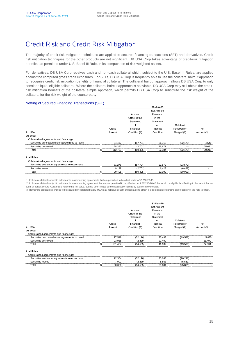### Credit Risk and Credit Risk Mitigation

The majority of credit risk mitigation techniques are applied to secured financing transactions (SFT) and derivatives. Credit risk mitigation techniques for the other products are not significant. DB USA Corp takes advantage of credit-risk mitigation benefits, as permitted under U.S. Basel III Rule, in its computation of risk-weighted assets.

For derivatives, DB USA Corp receives cash and non-cash collateral which, subject to the U.S. Basel III Rules, are applied against the computed gross credit exposures. For SFTs, DB USA Corp is frequently able to use the collateral haircut approach to recognize credit risk mitigation benefits of financial collateral. The collateral haircut approach allows DB USA Corp to only consider liquid, eligible collateral. Where the collateral haircut approach is not viable, DB USA Corp may still obtain the creditrisk mitigation benefits of the collateral simple approach, which permits DB USA Corp to substitute the risk weight of the collateral for the risk weight of the counterparty.

#### Netting of Secured Financing Transactions (SFT)

|                                                 |         |               | 30-Jun-21  |             |            |
|-------------------------------------------------|---------|---------------|------------|-------------|------------|
|                                                 |         |               | Net Amount |             |            |
|                                                 |         | Amount        | Presented  |             |            |
|                                                 |         | Offset in the | in the     |             |            |
|                                                 |         | Statement     | Statement  |             |            |
|                                                 |         | of            | of         | Collateral  |            |
|                                                 | Gross   | Financial     | Financial  | Received or | <b>Net</b> |
| in USD <sub>m.</sub>                            | Amount  | Condition (1) | Condition  | Pledged (2) | Amount (3) |
| Assets:                                         |         |               |            |             |            |
| Collateralized agreements and financings:       |         |               |            |             |            |
| Securities purchased under agreements to resell | 84.417  | (57, 704)     | 26.713     | (22, 173)   | 4,540      |
| Securities borrow ed                            | 28,372  | (2,701)       | 25,671     |             | 25,671     |
| Total                                           | 112,789 | (60, 405)     | 52,384     | (22, 173)   | 30,211     |
| Liabilities:                                    |         |               |            |             |            |
| Collateralized agreements and financings:       |         |               |            |             |            |
|                                                 |         |               |            |             |            |

Securities sold under agreements to repurchase  $81,276$   $(57,704)$   $23,572$   $(23,572)$ Securities loaned 9,129 (2,701) 6,428 (6,428) - Total \$ 90,405 (60,405) 30,000 (30,000) -

(1) Includes collateral subject to enforceable master netting agreements that are permitted to be offset under ASC 210-20-45.

(2) Includes collateral subject to enforceable master netting agreement that are not permitted to be offset under ASC 210-20-45, but would be eligible for offsetting to the extent that an event of default occurs. Collateral is reflected at fair value, but has been limited to the net asset or liability by counterparty contract.

(3) Remaining exposures continue to be secured by collateral but DB USA may not have sought or been able to obtain a legal opinion evidencing enforceability of the right to offset.

|                                                 |         |               | 31-Dec-20  |             |            |
|-------------------------------------------------|---------|---------------|------------|-------------|------------|
|                                                 |         |               | Net Amount |             |            |
|                                                 |         | Amount        | Presented  |             |            |
|                                                 |         | Offset in the | in the     |             |            |
|                                                 |         | Statement     | Statement  |             |            |
|                                                 |         | of            | of         | Collateral  |            |
|                                                 | Gross   | Financial     | Financial  | Received or | Net        |
| in USD <sub>m.</sub>                            | Amount  | Condition (1) | Condition  | Pledged (2) | Amount (3) |
| Assets:                                         |         |               |            |             |            |
| Collateralized agreements and financings:       |         |               |            |             |            |
| Securities purchased under agreements to resell | 77,549  | (52, 116)     | 25,433     | (19,598)    | 5,835      |
| Securities borrow ed                            | 23,938  | (2,439)       | 21,499     |             | 21,499     |
| Total                                           | 101,487 | (54, 555)     | 46,932     | (19, 598)   | 27,334     |
| Liabilities:                                    |         |               |            |             |            |
| Collateralized agreements and financings:       |         |               |            |             |            |

|       |              | 16      |  |                                     |
|-------|--------------|---------|--|-------------------------------------|
|       | ഹ-<br>$\sim$ | 439     |  | ,,,,,,,,,,,,,,,,,,,,,,,,,,,,,,,,,,, |
| ™ota. | ິ<br>,       | <b></b> |  |                                     |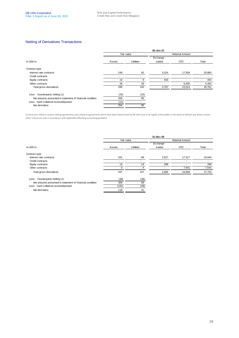#### Netting of Derivatives Transactions

|                                                           | 30-Jun-21            |      |                 |            |                |  |  |  |  |  |
|-----------------------------------------------------------|----------------------|------|-----------------|------------|----------------|--|--|--|--|--|
|                                                           | Fair value           |      | Notional Amount |            |                |  |  |  |  |  |
|                                                           |                      |      | Exchange -      |            |                |  |  |  |  |  |
| in USD <sub>m.</sub>                                      | Libilities<br>Assets |      | traded          | <b>OTC</b> | Total          |  |  |  |  |  |
| Contract type                                             |                      |      |                 |            |                |  |  |  |  |  |
| Interest rate contracts                                   | 249                  | 82   | 3,324           | 17,559     | 20,883         |  |  |  |  |  |
| Credit contracts                                          |                      |      |                 |            |                |  |  |  |  |  |
| Equity contracts                                          | 13                   | c    | 443             |            | <u></u><br>443 |  |  |  |  |  |
| Other contracts                                           | 28                   | 29   | -               | 5,455      | 5,455          |  |  |  |  |  |
| Total gross derivatives                                   | 290                  | 120  | 3,767           | 23,014     | 26,781         |  |  |  |  |  |
|                                                           |                      |      |                 |            |                |  |  |  |  |  |
| Less: Counterparty netting (1)                            | (25)                 | (25) |                 |            |                |  |  |  |  |  |
| Net amounts presented in statement of financial condition | 265                  | 95   |                 |            |                |  |  |  |  |  |
| Less: Cash collateral received/posted                     | (11)                 |      |                 |            |                |  |  |  |  |  |
| Net derivative                                            | 254                  | 95   |                 |            |                |  |  |  |  |  |
|                                                           |                      |      |                 |            |                |  |  |  |  |  |

(1) Amounts relate to master netting agreements and collateral agreements which have been determined by DB USA Corp to be legally enforceable in the event of default and where certain other criteria are met in accordance with applicable offsetting accounting guidance.

|                                                           |            |                        | 31-Dec-20  |        |                |
|-----------------------------------------------------------|------------|------------------------|------------|--------|----------------|
|                                                           | Fair value | <b>Notional Amount</b> |            |        |                |
|                                                           |            |                        | Exchange - |        |                |
| in USD <sub>m.</sub>                                      | Assets     | Libilities             | traded     | OTC    | Total          |
| Contract type                                             |            |                        |            |        |                |
| Interest rate contracts                                   | 331        | 89                     | 2,627      | 17.317 | 19,944         |
| Credit contracts                                          |            |                        |            |        |                |
| Equity contracts                                          | 13         | 14                     | 268        |        | 268            |
| Other contracts                                           |            | 4                      |            | 7,541  | 7,541          |
| Total gross derivatives                                   | 347        | 107                    | 2,895      | 24,858 | 27,753         |
| Less: Counterparty netting (1)                            | (38)       | (38)                   |            |        |                |
| Net amounts presented in statement of financial condition | 309        | 69                     |            |        |                |
| Less: Cash collateral received/posted                     | (191)      | (28)                   |            |        | <b>ALC</b>     |
| Net derivative                                            | 118        | 41                     |            |        | <b>COLLEGE</b> |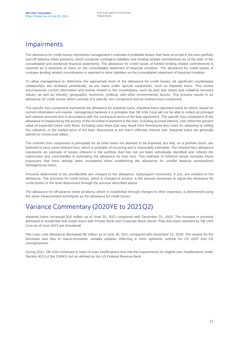### Impairments

The allowance for credit losses represents management's estimate of probable losses that have occurred in the loan portfolio and off balance sheet positions, which comprise contingent liabilities and lending related commitments as of the date of the consolidated and combined financial statements. The allowance for credit losses of funded lending related commitments is reported as a reduction of loans on the consolidated statement of financial condition. The allowance for credit losses of undrawn lending related commitments is reported in other liabilities on the consolidated statement of financial condition.

To allow management to determine the appropriate level of the allowance for credit losses, all significant counterparty relationships are reviewed periodically, as are loans under special supervision, such as impaired loans. This review encompasses current information and events related to the counterparty, such as past due status and collateral recovery values, as well as industry, geographic, economic, political, and other environmental factors. This process results in an allowance for credit losses which consists of a specific loss component and an inherent loss component.

The specific loss component represents the allowance for impaired loans. Impaired loans represent loans for which, based on current information and events, management believes it is probable that DB USA Corp will not be able to collect all principal and interest amounts due in accordance with the contractual terms of the loan agreement. The specific loss component of the allowance is measured by the excess of the recorded investment in the loan, including accrued interest, over either the present value of expected future cash flows, including cash flows that may result from foreclosure less costs for obtaining or selling the collateral, or the market price of the loan, discounted at the loan's effective interest rate. Impaired loans are generally placed on nonaccrual status.

The inherent loss component is principally for all other loans not deemed to be impaired, but that, on a portfolio basis, are believed to have some inherent loss, which is probable of occurring and is reasonably estimable. The inherent loss allowance represents an estimate of losses inherent in the portfolio that has not yet been individually identified and reflects the imprecision and uncertainties in estimating the allowance for loan loss. This estimate of inherent losses excludes those exposures that have already been considered when establishing the allowance for smaller balance standardized homogeneous loans.

Amounts determined to be uncollectible are charged to the allowance. Subsequent recoveries, if any, are credited to the allowance. The provision for credit losses, which is charged to income, is the amount necessary to adjust the allowance for credit losses to the level determined through the process described above.

The allowance for off balance sheet positions, which is established through charges to other expenses, is determined using the same measurement techniques as the allowance for credit losses.

### Variance Commentary (2020YE to 2021Q2)

Impaired loans increased \$18 million as of June 30, 2021 compared with December 31, 2020. The increase is primarily attributed to residential real estate loans with Private Bank and Corporate Bank clients. Past due loans reported by DB USA Corp as of June 2021 are immaterial.

The Loan Loss Allowance decreased \$6 million as of June 30, 2021 compared with December 31, 2020. The reason for the decrease was due to macro-economic variable updates reflecting a more optimistic outlook for US GDP and US unemployment.

During 2021, DB USA continued to have no loan modifications that met the requirements for eligible loan modifications under Section 4013 of the CARES Act as defined by the US Federal Reserve Bank.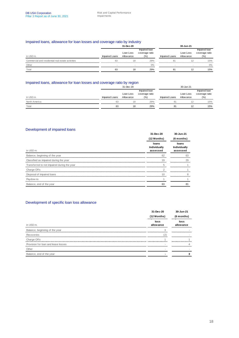#### Impaired loans, allowance for loan losses and coverage ratio by industry

|                                                   |                | 31-Dec-20  |                                 |                | 30-Jun-21  |                                 |
|---------------------------------------------------|----------------|------------|---------------------------------|----------------|------------|---------------------------------|
|                                                   |                | Loan Loss  | Impaired loan<br>coverage ratio |                | Loan Loss  | Impaired loan<br>coverage ratio |
| in USD m.                                         | Impaired Loans | Allow ance | (%)                             | Impaired Loans | Allow ance | (% )                            |
| Commercial and residential real estate activities | 63             | 18         | 29%                             | 81             |            | 15%                             |
| Other                                             |                |            | 0%                              |                |            | 0%                              |
| Total                                             | 63             | 18         | 29%                             | 81             | 12         | 15%                             |

#### Impaired loans, allowance for loan losses and coverage ratio by region

|               |                | 31-Dec-20  |                |                | 30-Jun-21  |                |
|---------------|----------------|------------|----------------|----------------|------------|----------------|
|               |                |            | Impaired loan  |                |            | Impaired loan  |
|               |                | Loan Loss  | coverage ratio |                | Loan Loss  | coverage ratio |
| in USD m.     | Impaired Loans | Allow ance | (% )           | Impaired Loans | Allow ance | (%)            |
| North America | 63             | 18         | 29%            | 81             |            | 15%            |
| Total         | 63             | 18         | 29%            | 81             | 12         | 15%            |

#### Development of impaired loans

|                                             | 31-Dec-20<br>(12 Months)          | 30-Jun-21<br>(6 months)           |
|---------------------------------------------|-----------------------------------|-----------------------------------|
| in USD <sub>m</sub> .                       | loans<br>Individually<br>assessed | loans<br>Individually<br>assessed |
| Balance, beginning of the year              | 62                                | 63                                |
| Classified as impaired during the year      | 19                                | 29                                |
| Transferred to not impaired during the year |                                   |                                   |
| Charge Offs                                 |                                   |                                   |
| Disposal of impaired loans                  | 10                                | <u></u>                           |
| Paydow ns                                   |                                   |                                   |
| Balance, end of the year                    | 63                                | 81                                |

#### Development of specific loan loss allowance

|                                     | 31-Dec-20<br>(12 Months)      | 30-Jun-21<br>(6 months) |
|-------------------------------------|-------------------------------|-------------------------|
| in USD <sub>m</sub> .               | loss<br>allow ance            | loss<br>allow ance      |
| Balance, beginning of the year      |                               |                         |
| Recoveries                          |                               |                         |
| Charge Offs                         | ,,,,,,,,,,,,,,,,,,,,,,,,,,,,, |                         |
| Provision for loan and lease losses |                               |                         |
| Other                               |                               |                         |
| Balance, end of the year            |                               |                         |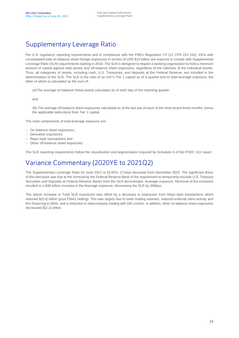## Supplementary Leverage Ratio

Per U.S. regulatory reporting requirements and in compliance with the FRB's Regulation YY (12 CFR 252.153), IHCs with consolidated total on-balance sheet foreign exposures in excess of USD \$10 billion are required to comply with Supplemental Leverage Ratio (SLR) requirements starting in 2018. The SLR is designed to require a banking organization to hold a minimum amount of capital against total assets and off-balance sheet exposures, regardless of the riskiness of the individual assets. Thus, all categories of assets, including cash, U.S. Treasuries, and deposits at the Federal Reserve, are included in the determination of the SLR. The SLR is the ratio of an IHC's Tier 1 capital as of a quarter-end to total leverage exposure, the latter of which is calculated as the sum of:

(A)The average on-balance sheet assets calculated as of each day of the reporting quarter;

and

(B) The average off-balance sheet exposures calculated as of the last day of each of the most recent three months, minus the applicable deductions from Tier 1 capital.

The main components of total leverage exposure are:

- On-balance sheet exposures;
- Derivative exposures;
- Repo-style transactions and
- Other off-balance sheet exposures.

The SLR reporting requirements follow the classification and segmentation required by Schedule A of the FFIEC 101 report.

### Variance Commentary (2020YE to 2021Q2)

The Supplementary Leverage Ratio for June 2021 is 10.85%, 271bps decrease from December 2020. The significant driver of this decrease was due to the removal by the Federal Reserve Bank of the requirement to temporarily exclude U.S. Treasury Securities and Deposits at Federal Reserve Banks from the SLR denominator, leverage exposure. Removal of the exclusion resulted in a \$38 billion increase in the leverage exposure, decreasing the SLR by 366bps.

The above increase in Total SLR exposures was offset by a decrease in exposures from Repo-style transactions which reduced \$(5.0) billion (post FIN41 netting). This was largely due to lower trading volumes, reduced external client activity and firm financing in DBSI, and a reduction in intercompany trading with DB London. In addtion, other on balance sheet exposures decreased \$(2.2) billion.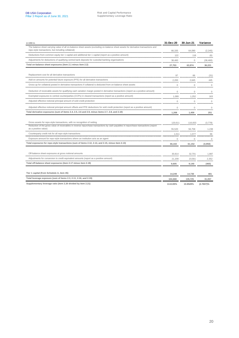| in USD m.                                                                                                                                                                                                      | 31-Dec-20      | 30-Jun-21    | Variance     |
|----------------------------------------------------------------------------------------------------------------------------------------------------------------------------------------------------------------|----------------|--------------|--------------|
| The balance sheet carrying value of all on-balance sheet assets (excluding on-balance sheet assets for derivative transactions and<br>repo-style transactions, but including collateral)                       | 66,335         | 64,090       | (2, 245)     |
| Deductions from common equity tier 1 capital and additional tier 1 capital (report as a positive amount)                                                                                                       | 122            | 116          | (6)          |
| Adjustments for deductions of qualifying central bank deposits for custodial banking organisations                                                                                                             | 38,460         | $\circ$      | (38, 460)    |
| Total on-balance sheet exposures (item 2.1 minus item 2.2)                                                                                                                                                     | 27,753         | 63,974       | 36,221       |
| Replacement cost for all derivative transactions                                                                                                                                                               | 97             | 66           | (31)         |
| Add-on amounts for potential future exposure (PFE) for all derivative transactions                                                                                                                             | 2,200          | 2,645        | 445          |
| Gross-up for collateral posted in derivative transactions if collateral is deducted from on-balance sheet assets                                                                                               | $\overline{0}$ | $\mathbf{0}$ | $\Omega$     |
| Deduction of receivable assets for qualifying cash variation margin posted in derivative transactions (report as a positive amount)                                                                            | $\mathbf 0$    | $\mathbf{0}$ | $\mathbf 0$  |
| Exempted exposures to central counterparties (CCPs) in cleared transactions (report as a positive amount)                                                                                                      | 1,089          | 1,252        | 163          |
| Adjusted effective notional principal amount of sold credit protection                                                                                                                                         | $\mathbf 0$    | $\mathbf{0}$ | $\mathbf 0$  |
| Adjusted effective notional principal amount offsets and PFE deductions for sold credit protection (report as a positive amount)                                                                               | $\mathbf 0$    | $\mathbf{0}$ | $\mathbf 0$  |
| Total derivative exposures (sum of items 2.4, 2.5, 2.6 and 2.9, minus items 2.7, 2.8, and 2.10)                                                                                                                | 1.208          | 1.459        | 251          |
| Gross assets for repo-style transactions, with no recognition of netting<br>Reduction of the gross value of receivables in reverse repurchase transactions by cash payables in repurchase transactions (report | 120,611        | 116,833      | (3,778)      |
| as a positive value)                                                                                                                                                                                           | 55,520         | 56,758       | 1,238        |
| Counterparty credit risk for all repo-style transactions                                                                                                                                                       | 1,011          | 1,077        | 66           |
| Exposure amount for repo-style transactions where an institution acts as an agent                                                                                                                              | $\Omega$       | $\Omega$     | <sup>n</sup> |
| Total exposures for repo-style transactions (sum of items 2.12, 2.14, and 2.15, minus item 2.13)                                                                                                               | 66,102         | 61,152       | (4,950)      |
| Off-balance sheet exposures at gross notional amounts                                                                                                                                                          | 30,814         | 32,701       | 1,887        |
| Adjustments for conversion to credit equivalent amounts (report as a positive amount)                                                                                                                          | 21.209         | 23.561       | 2,352        |
| Total off-balance sheet exposures (item 2.17 minus item 2.18)                                                                                                                                                  | 9.605          | 9.140        | (465)        |
| Tier 1 capital (from Schedule A, item 45)                                                                                                                                                                      | 14,249         | 14,730       | 481          |
| Total leverage exposure (sum of items 2.3, 2.11, 2.16, and 2.19)                                                                                                                                               | 104,668        | 135,725      | 31,057       |
| Supplementary leverage ratio (item 2.20 divided by item 2.21)                                                                                                                                                  | 13.6135%       | 10.8528%     | (2.7607)%    |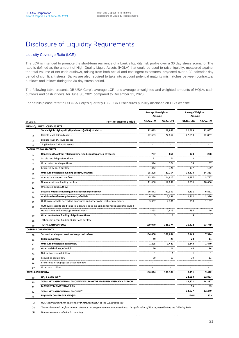### Disclosure of Liquidity Requirements

#### Liquidity Coverage Ratio (LCR)

The LCR is intended to promote the short-term resilience of a bank's liquidity risk profile over a 30 day stress scenario. The ratio is defined as the amount of High Quality Liquid Assets (HQLA) that could be used to raise liquidity, measured against the total volume of net cash outflows, arising from both actual and contingent exposures, projected over a 30 calendar-day period of significant stress. Banks are also required to take into account potential maturity mismatches between contractual outflows and inflows during the 30 day stress period.

The following table presents DB USA Corp's average LCR, and average unweighted and weighted amounts of HQLA, cash outflows and cash inflows, for June 30, 2021 compared to December 31, 2020.

For details please refer to DB USA Corp's quarterly U.S. LCR Disclosures publicly disclosed on DB's website.

|                          |                                                                                        | <b>Average Unweighted</b><br>Amount |              | <b>Average Weighted</b><br>Amount |                |
|--------------------------|----------------------------------------------------------------------------------------|-------------------------------------|--------------|-----------------------------------|----------------|
| in USD m.                | For the quarter ended                                                                  | 31-Dec-20                           | 30-Jun-21    | 31-Dec-20                         | 30-Jun-21      |
|                          | HIGH-QUALITY LIQUID ASSETS <sup>(1)</sup>                                              |                                     |              |                                   |                |
| $\mathbf 1$              | Total eligible high-quality liquid assets (HQLA), of which:                            | 22,693                              | 22,867       | 22,693                            | 22,867         |
| $\overline{2}$           | Eligible level 1 liquid assets                                                         | 22,693                              | 22,867       | 22,693                            | 22,867         |
| 3                        | Eligible level 2A liquid assets                                                        |                                     |              |                                   |                |
| 4                        | Eligible level 2B I iquid assets                                                       |                                     |              |                                   |                |
|                          | <b>CASH OUTFLOW AMOUNTS</b>                                                            |                                     |              |                                   |                |
| 5                        | Deposit outflow from retail customers and counterparties, of which:                    | 757                                 | 866          | 173                               | 208            |
| 6                        | Stable retail deposit outflow                                                          | 71                                  | 71           | $\overline{2}$                    | $\overline{2}$ |
| 7                        | Other retail funding outflow                                                           | 344                                 | 374          | 34                                | 37             |
| 8                        | Brokered deposit outflow                                                               | 342                                 | 421          | 137                               | 169            |
| 9                        | Unsecured wholesale funding outflow, of which:                                         | 25,208                              | 27,754       | 13,223                            | 14,383         |
| 10                       | Operational deposit outflow                                                            | 13,558                              | 14,917       | 3,387                             | 3,727          |
| 11                       | Non-operational funding outflow                                                        | 11,650                              | 12,837       | 9,836                             | 10,656         |
| 12                       | Unsecured debt outflow                                                                 |                                     |              | $\sim$                            |                |
| 13                       | Secured wholesale funding and asset exchange outflow                                   | 96,872                              | 92,357       | 6,211                             | 6,821          |
| 14                       | Additional outflow requirements, of which:                                             | 6,230                               | 7,396        | 1,712                             | 2,336          |
| 15                       | Outflow related to derivative exposures and other collateral requirements              | 3,367                               | 4,781        | 918                               | 1,187          |
| 16                       | Outflow related to credit and liquidity facilities including unconsolidated structured |                                     |              |                                   |                |
|                          | transactions and mortgage commitments                                                  | 2,863                               | 2,615        | 794                               | 1,149          |
| 17                       | Other contractual funding obligation outflow                                           | з                                   | $\mathbf 1$  | 3                                 | $\mathbf{1}$   |
| 18                       | Other contingent funding obligations outflow                                           |                                     |              |                                   |                |
| 19                       | TOTAL CASH OUTFLOW                                                                     | 129,070                             | 128,374      | 21,322                            | 23,749         |
|                          | <b>CASH INFLOW AMOUNTS</b>                                                             |                                     |              |                                   |                |
| 20                       | Secured lending and asset exchange cash inflow                                         | 104,660                             | 106,694      | 7,145                             | 7,944          |
| 21                       | <b>Retail cash inflow</b>                                                              | 49                                  | 29           | 23                                | 14             |
| 22                       | Unsecured wholesale cash inflow                                                        | 1,295                               | 1,447        | 1,243                             | 1,440          |
| 23                       | Other cash inflows, of which:                                                          | 40                                  | 14           | 40                                | 14             |
| 24                       | Net derivative cash inflow                                                             | $\mathbf{1}$                        | $\mathbf{1}$ | $\mathbf{1}$                      | $\mathbf{1}$   |
| 25                       | Securities cash inflow                                                                 | 39                                  | 13           | 39                                | 13             |
| 26                       | Broker-dealer segregated account inflow                                                |                                     |              | ÷.                                |                |
| 27                       | Other cash i nflow                                                                     |                                     |              |                                   |                |
| <b>TOTAL CASH INFLOW</b> |                                                                                        | 106,044                             | 108,184      | 8,451                             | 9,412          |
| 29                       | HQLA AMOUNT <sup>(1)</sup>                                                             |                                     |              | 22,693                            | 22,867         |
| 30                       | TOTAL NET CASH OUTFLOW AMOUNT EXCLUDING THE MATURITY MISMATCH ADD-ON                   |                                     |              | 12,871                            | 14,337         |
| 31                       | <b>MATURITY MISMATCH ADD-ON</b>                                                        |                                     |              | 56                                | 63             |
| 32                       | TOTAL NET CASH OUTFLOW AMOUNT <sup>(2)</sup>                                           |                                     |              | 12,927                            | 12,240         |
| 33                       | <b>LIQUIDITY COVERAGE RATIO (%)</b>                                                    |                                     |              | 176%                              | 187%           |

(1) *HQLA figures have been adjusted for the trapped HQLA at the U.S. subsidaries*

(2) *The total net cash outflow amount does not tie using component amounts due to the application of 85% as prescribed by the Tailoring Rule*

(3) *Numbers may not add due to rounding*

J.